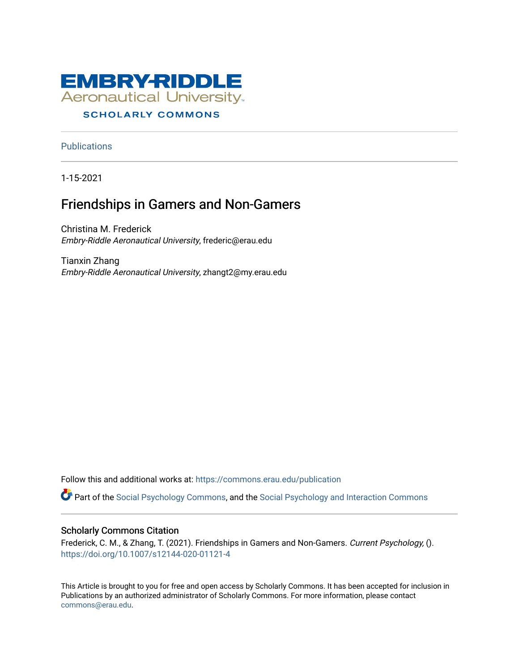

## **SCHOLARLY COMMONS**

**Publications** 

1-15-2021

# Friendships in Gamers and Non-Gamers

Christina M. Frederick Embry-Riddle Aeronautical University, frederic@erau.edu

Tianxin Zhang Embry-Riddle Aeronautical University, zhangt2@my.erau.edu

Follow this and additional works at: [https://commons.erau.edu/publication](https://commons.erau.edu/publication?utm_source=commons.erau.edu%2Fpublication%2F1782&utm_medium=PDF&utm_campaign=PDFCoverPages) 

Part of the [Social Psychology Commons,](http://network.bepress.com/hgg/discipline/414?utm_source=commons.erau.edu%2Fpublication%2F1782&utm_medium=PDF&utm_campaign=PDFCoverPages) and the [Social Psychology and Interaction Commons](http://network.bepress.com/hgg/discipline/430?utm_source=commons.erau.edu%2Fpublication%2F1782&utm_medium=PDF&utm_campaign=PDFCoverPages) 

## Scholarly Commons Citation

Frederick, C. M., & Zhang, T. (2021). Friendships in Gamers and Non-Gamers. Current Psychology, (). <https://doi.org/10.1007/s12144-020-01121-4>

This Article is brought to you for free and open access by Scholarly Commons. It has been accepted for inclusion in Publications by an authorized administrator of Scholarly Commons. For more information, please contact [commons@erau.edu](mailto:commons@erau.edu).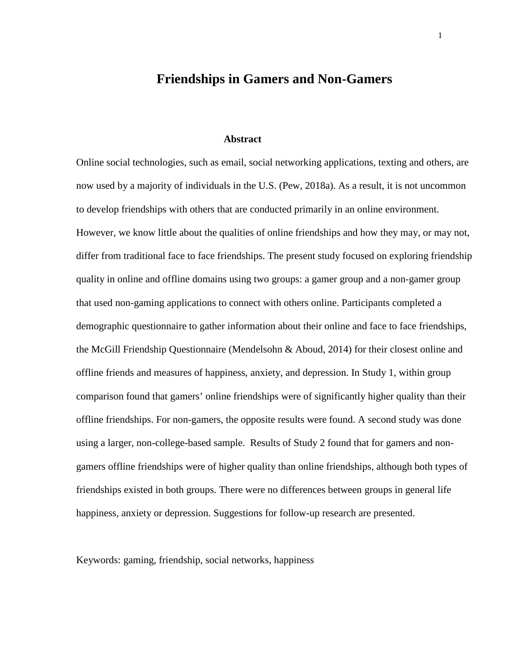# **Friendships in Gamers and Non-Gamers**

#### **Abstract**

Online social technologies, such as email, social networking applications, texting and others, are now used by a majority of individuals in the U.S. (Pew, 2018a). As a result, it is not uncommon to develop friendships with others that are conducted primarily in an online environment. However, we know little about the qualities of online friendships and how they may, or may not, differ from traditional face to face friendships. The present study focused on exploring friendship quality in online and offline domains using two groups: a gamer group and a non-gamer group that used non-gaming applications to connect with others online. Participants completed a demographic questionnaire to gather information about their online and face to face friendships, the McGill Friendship Questionnaire (Mendelsohn & Aboud, 2014) for their closest online and offline friends and measures of happiness, anxiety, and depression. In Study 1, within group comparison found that gamers' online friendships were of significantly higher quality than their offline friendships. For non-gamers, the opposite results were found. A second study was done using a larger, non-college-based sample. Results of Study 2 found that for gamers and nongamers offline friendships were of higher quality than online friendships, although both types of friendships existed in both groups. There were no differences between groups in general life happiness, anxiety or depression. Suggestions for follow-up research are presented.

Keywords: gaming, friendship, social networks, happiness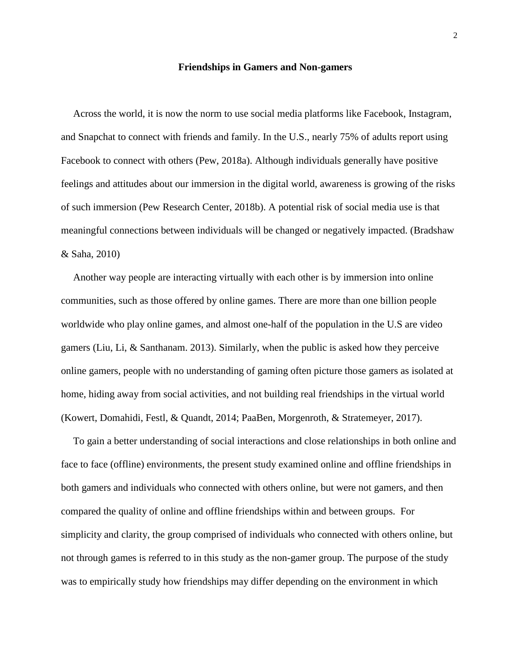#### **Friendships in Gamers and Non-gamers**

Across the world, it is now the norm to use social media platforms like Facebook, Instagram, and Snapchat to connect with friends and family. In the U.S., nearly 75% of adults report using Facebook to connect with others (Pew, 2018a). Although individuals generally have positive feelings and attitudes about our immersion in the digital world, awareness is growing of the risks of such immersion (Pew Research Center, 2018b). A potential risk of social media use is that meaningful connections between individuals will be changed or negatively impacted. (Bradshaw & Saha, 2010)

Another way people are interacting virtually with each other is by immersion into online communities, such as those offered by online games. There are more than one billion people worldwide who play online games, and almost one-half of the population in the U.S are video gamers (Liu, Li, & Santhanam. 2013). Similarly, when the public is asked how they perceive online gamers, people with no understanding of gaming often picture those gamers as isolated at home, hiding away from social activities, and not building real friendships in the virtual world (Kowert, Domahidi, Festl, & Quandt, 2014; PaaBen, Morgenroth, & Stratemeyer, 2017).

To gain a better understanding of social interactions and close relationships in both online and face to face (offline) environments, the present study examined online and offline friendships in both gamers and individuals who connected with others online, but were not gamers, and then compared the quality of online and offline friendships within and between groups. For simplicity and clarity, the group comprised of individuals who connected with others online, but not through games is referred to in this study as the non-gamer group. The purpose of the study was to empirically study how friendships may differ depending on the environment in which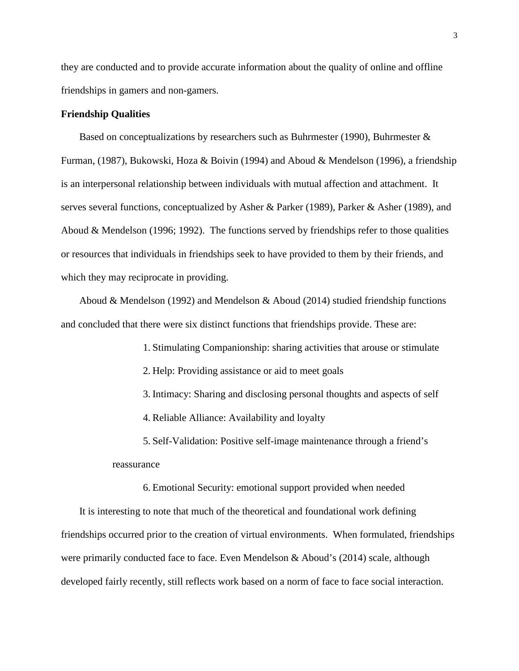they are conducted and to provide accurate information about the quality of online and offline friendships in gamers and non-gamers.

## **Friendship Qualities**

Based on conceptualizations by researchers such as Buhrmester (1990), Buhrmester & Furman, (1987), Bukowski, Hoza & Boivin (1994) and Aboud & Mendelson (1996), a friendship is an interpersonal relationship between individuals with mutual affection and attachment. It serves several functions, conceptualized by Asher & Parker (1989), Parker & Asher (1989), and Aboud & Mendelson (1996; 1992). The functions served by friendships refer to those qualities or resources that individuals in friendships seek to have provided to them by their friends, and which they may reciprocate in providing.

Aboud & Mendelson (1992) and Mendelson & Aboud (2014) studied friendship functions and concluded that there were six distinct functions that friendships provide. These are:

1. Stimulating Companionship: sharing activities that arouse or stimulate

- 2. Help: Providing assistance or aid to meet goals
- 3. Intimacy: Sharing and disclosing personal thoughts and aspects of self
- 4. Reliable Alliance: Availability and loyalty

5. Self-Validation: Positive self-image maintenance through a friend's reassurance

6. Emotional Security: emotional support provided when needed

It is interesting to note that much of the theoretical and foundational work defining friendships occurred prior to the creation of virtual environments. When formulated, friendships were primarily conducted face to face. Even Mendelson & Aboud's (2014) scale, although developed fairly recently, still reflects work based on a norm of face to face social interaction.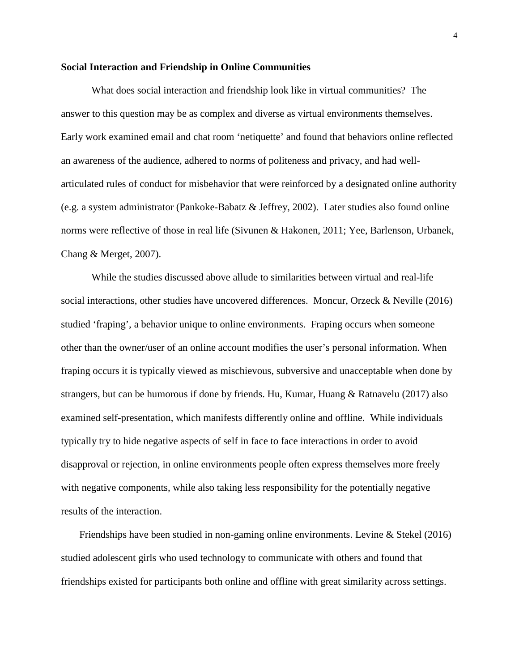#### **Social Interaction and Friendship in Online Communities**

What does social interaction and friendship look like in virtual communities? The answer to this question may be as complex and diverse as virtual environments themselves. Early work examined email and chat room 'netiquette' and found that behaviors online reflected an awareness of the audience, adhered to norms of politeness and privacy, and had wellarticulated rules of conduct for misbehavior that were reinforced by a designated online authority (e.g. a system administrator (Pankoke-Babatz & Jeffrey, 2002). Later studies also found online norms were reflective of those in real life (Sivunen & Hakonen, 2011; Yee, Barlenson, Urbanek, Chang & Merget, 2007).

While the studies discussed above allude to similarities between virtual and real-life social interactions, other studies have uncovered differences. Moncur, Orzeck & Neville (2016) studied 'fraping', a behavior unique to online environments. Fraping occurs when someone other than the owner/user of an online account modifies the user's personal information. When fraping occurs it is typically viewed as mischievous, subversive and unacceptable when done by strangers, but can be humorous if done by friends. Hu, Kumar, Huang & Ratnavelu (2017) also examined self-presentation, which manifests differently online and offline. While individuals typically try to hide negative aspects of self in face to face interactions in order to avoid disapproval or rejection, in online environments people often express themselves more freely with negative components, while also taking less responsibility for the potentially negative results of the interaction.

Friendships have been studied in non-gaming online environments. Levine & Stekel  $(2016)$ studied adolescent girls who used technology to communicate with others and found that friendships existed for participants both online and offline with great similarity across settings.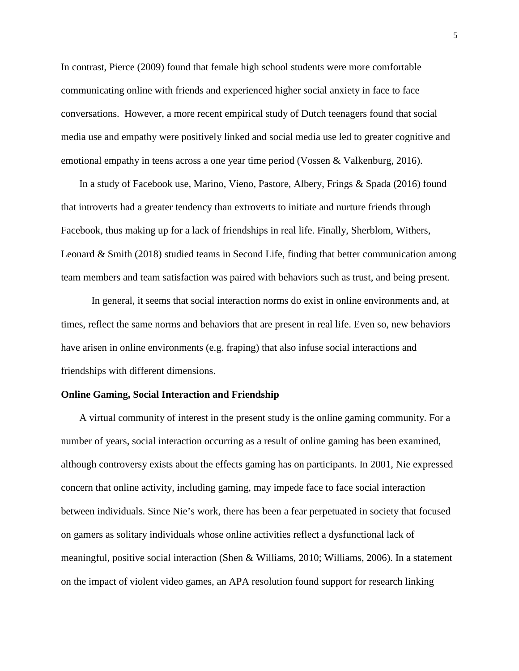In contrast, Pierce (2009) found that female high school students were more comfortable communicating online with friends and experienced higher social anxiety in face to face conversations. However, a more recent empirical study of Dutch teenagers found that social media use and empathy were positively linked and social media use led to greater cognitive and emotional empathy in teens across a one year time period (Vossen & Valkenburg, 2016).

In a study of Facebook use, Marino, Vieno, Pastore, Albery, Frings & Spada (2016) found that introverts had a greater tendency than extroverts to initiate and nurture friends through Facebook, thus making up for a lack of friendships in real life. Finally, Sherblom, Withers, Leonard & Smith (2018) studied teams in Second Life, finding that better communication among team members and team satisfaction was paired with behaviors such as trust, and being present.

In general, it seems that social interaction norms do exist in online environments and, at times, reflect the same norms and behaviors that are present in real life. Even so, new behaviors have arisen in online environments (e.g. fraping) that also infuse social interactions and friendships with different dimensions.

## **Online Gaming, Social Interaction and Friendship**

A virtual community of interest in the present study is the online gaming community. For a number of years, social interaction occurring as a result of online gaming has been examined, although controversy exists about the effects gaming has on participants. In 2001, Nie expressed concern that online activity, including gaming, may impede face to face social interaction between individuals. Since Nie's work, there has been a fear perpetuated in society that focused on gamers as solitary individuals whose online activities reflect a dysfunctional lack of meaningful, positive social interaction (Shen & Williams, 2010; Williams, 2006). In a statement on the impact of violent video games, an APA resolution found support for research linking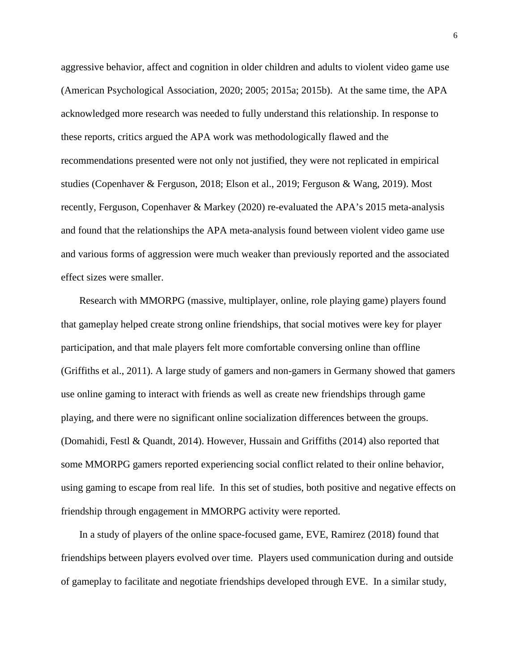aggressive behavior, affect and cognition in older children and adults to violent video game use (American Psychological Association, 2020; 2005; 2015a; 2015b). At the same time, the APA acknowledged more research was needed to fully understand this relationship. In response to these reports, critics argued the APA work was methodologically flawed and the recommendations presented were not only not justified, they were not replicated in empirical studies (Copenhaver & Ferguson, 2018; Elson et al., 2019; Ferguson & Wang, 2019). Most recently, Ferguson, Copenhaver & Markey (2020) re-evaluated the APA's 2015 meta-analysis and found that the relationships the APA meta-analysis found between violent video game use and various forms of aggression were much weaker than previously reported and the associated effect sizes were smaller.

Research with MMORPG (massive, multiplayer, online, role playing game) players found that gameplay helped create strong online friendships, that social motives were key for player participation, and that male players felt more comfortable conversing online than offline (Griffiths et al., 2011). A large study of gamers and non-gamers in Germany showed that gamers use online gaming to interact with friends as well as create new friendships through game playing, and there were no significant online socialization differences between the groups. (Domahidi, Festl & Quandt, 2014). However, Hussain and Griffiths (2014) also reported that some MMORPG gamers reported experiencing social conflict related to their online behavior, using gaming to escape from real life. In this set of studies, both positive and negative effects on friendship through engagement in MMORPG activity were reported.

In a study of players of the online space-focused game, EVE, Ramirez (2018) found that friendships between players evolved over time. Players used communication during and outside of gameplay to facilitate and negotiate friendships developed through EVE. In a similar study,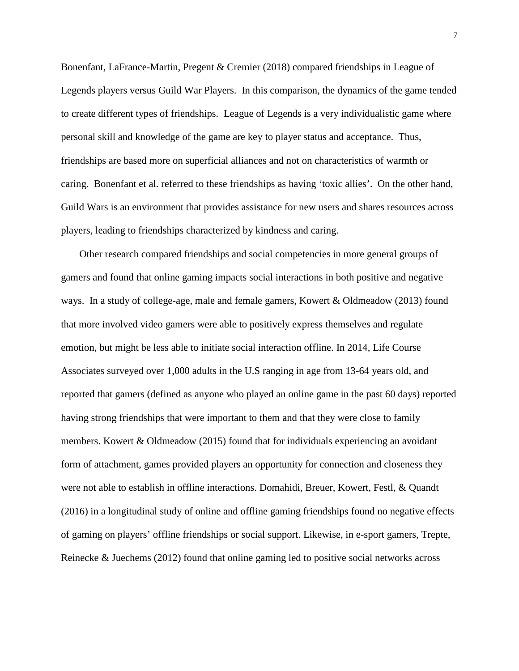Bonenfant, LaFrance-Martin, Pregent & Cremier (2018) compared friendships in League of Legends players versus Guild War Players. In this comparison, the dynamics of the game tended to create different types of friendships. League of Legends is a very individualistic game where personal skill and knowledge of the game are key to player status and acceptance. Thus, friendships are based more on superficial alliances and not on characteristics of warmth or caring. Bonenfant et al. referred to these friendships as having 'toxic allies'. On the other hand, Guild Wars is an environment that provides assistance for new users and shares resources across players, leading to friendships characterized by kindness and caring.

Other research compared friendships and social competencies in more general groups of gamers and found that online gaming impacts social interactions in both positive and negative ways. In a study of college-age, male and female gamers, Kowert & Oldmeadow (2013) found that more involved video gamers were able to positively express themselves and regulate emotion, but might be less able to initiate social interaction offline. In 2014, Life Course Associates surveyed over 1,000 adults in the U.S ranging in age from 13-64 years old, and reported that gamers (defined as anyone who played an online game in the past 60 days) reported having strong friendships that were important to them and that they were close to family members. Kowert & Oldmeadow (2015) found that for individuals experiencing an avoidant form of attachment, games provided players an opportunity for connection and closeness they were not able to establish in offline interactions. Domahidi, Breuer, Kowert, Festl, & Quandt (2016) in a longitudinal study of online and offline gaming friendships found no negative effects of gaming on players' offline friendships or social support. Likewise, in e-sport gamers, Trepte, Reinecke & Juechems (2012) found that online gaming led to positive social networks across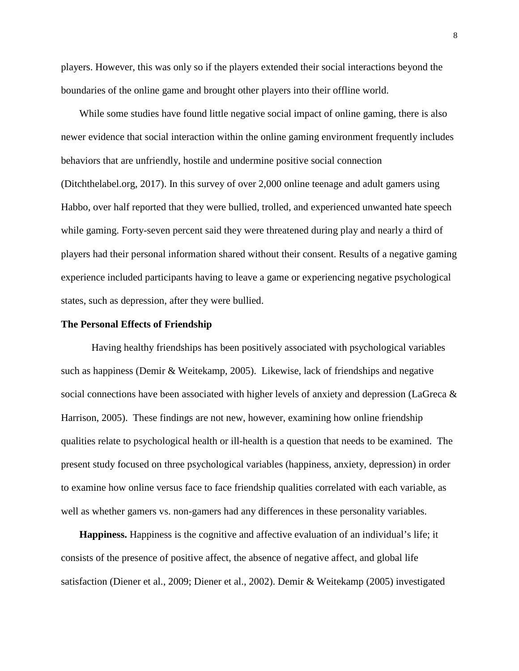players. However, this was only so if the players extended their social interactions beyond the boundaries of the online game and brought other players into their offline world.

While some studies have found little negative social impact of online gaming, there is also newer evidence that social interaction within the online gaming environment frequently includes behaviors that are unfriendly, hostile and undermine positive social connection (Ditchthelabel.org, 2017). In this survey of over 2,000 online teenage and adult gamers using Habbo, over half reported that they were bullied, trolled, and experienced unwanted hate speech while gaming. Forty-seven percent said they were threatened during play and nearly a third of players had their personal information shared without their consent. Results of a negative gaming experience included participants having to leave a game or experiencing negative psychological states, such as depression, after they were bullied.

#### **The Personal Effects of Friendship**

Having healthy friendships has been positively associated with psychological variables such as happiness (Demir & Weitekamp, 2005). Likewise, lack of friendships and negative social connections have been associated with higher levels of anxiety and depression (LaGreca & Harrison, 2005). These findings are not new, however, examining how online friendship qualities relate to psychological health or ill-health is a question that needs to be examined. The present study focused on three psychological variables (happiness, anxiety, depression) in order to examine how online versus face to face friendship qualities correlated with each variable, as well as whether gamers vs. non-gamers had any differences in these personality variables.

**Happiness.** Happiness is the cognitive and affective evaluation of an individual's life; it consists of the presence of positive affect, the absence of negative affect, and global life satisfaction (Diener et al., 2009; Diener et al., 2002). Demir & Weitekamp (2005) investigated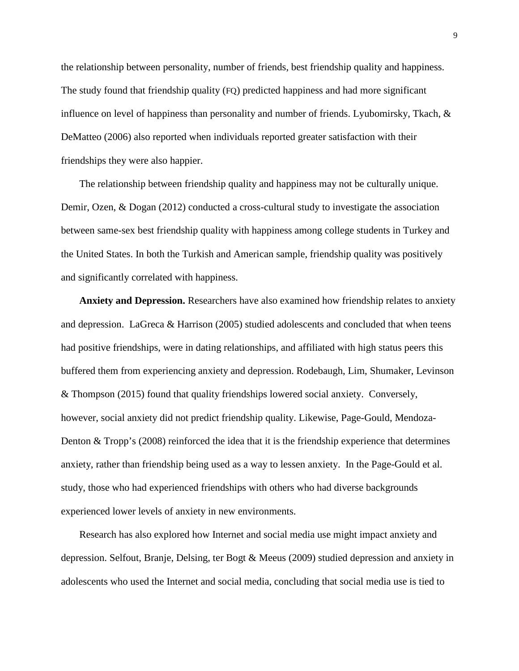the relationship between personality, number of friends, best friendship quality and happiness. The study found that friendship quality (FQ) predicted happiness and had more significant influence on level of happiness than personality and number of friends. Lyubomirsky, Tkach, & DeMatteo (2006) also reported when individuals reported greater satisfaction with their friendships they were also happier.

The relationship between friendship quality and happiness may not be culturally unique. Demir, Ozen, & Dogan (2012) conducted a cross-cultural study to investigate the association between same-sex best friendship quality with happiness among college students in Turkey and the United States. In both the Turkish and American sample, friendship quality was positively and significantly correlated with happiness.

**Anxiety and Depression.** Researchers have also examined how friendship relates to anxiety and depression. LaGreca & Harrison (2005) studied adolescents and concluded that when teens had positive friendships, were in dating relationships, and affiliated with high status peers this buffered them from experiencing anxiety and depression. Rodebaugh, Lim, Shumaker, Levinson & Thompson (2015) found that quality friendships lowered social anxiety. Conversely, however, social anxiety did not predict friendship quality. Likewise, Page-Gould, Mendoza-Denton & Tropp's (2008) reinforced the idea that it is the friendship experience that determines anxiety, rather than friendship being used as a way to lessen anxiety. In the Page-Gould et al. study, those who had experienced friendships with others who had diverse backgrounds experienced lower levels of anxiety in new environments.

Research has also explored how Internet and social media use might impact anxiety and depression. Selfout, Branje, Delsing, ter Bogt & Meeus (2009) studied depression and anxiety in adolescents who used the Internet and social media, concluding that social media use is tied to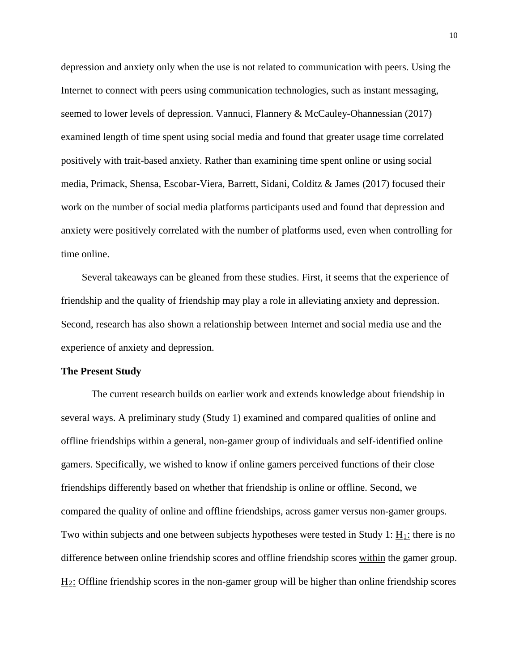depression and anxiety only when the use is not related to communication with peers. Using the Internet to connect with peers using communication technologies, such as instant messaging, seemed to lower levels of depression. Vannuci, Flannery & McCauley-Ohannessian (2017) examined length of time spent using social media and found that greater usage time correlated positively with trait-based anxiety. Rather than examining time spent online or using social media, Primack, Shensa, Escobar-Viera, Barrett, Sidani, Colditz & James (2017) focused their work on the number of social media platforms participants used and found that depression and anxiety were positively correlated with the number of platforms used, even when controlling for time online.

Several takeaways can be gleaned from these studies. First, it seems that the experience of friendship and the quality of friendship may play a role in alleviating anxiety and depression. Second, research has also shown a relationship between Internet and social media use and the experience of anxiety and depression.

#### **The Present Study**

The current research builds on earlier work and extends knowledge about friendship in several ways. A preliminary study (Study 1) examined and compared qualities of online and offline friendships within a general, non-gamer group of individuals and self-identified online gamers. Specifically, we wished to know if online gamers perceived functions of their close friendships differently based on whether that friendship is online or offline. Second, we compared the quality of online and offline friendships, across gamer versus non-gamer groups. Two within subjects and one between subjects hypotheses were tested in Study 1:  $\underline{H}_1$ : there is no difference between online friendship scores and offline friendship scores within the gamer group. H2: Offline friendship scores in the non-gamer group will be higher than online friendship scores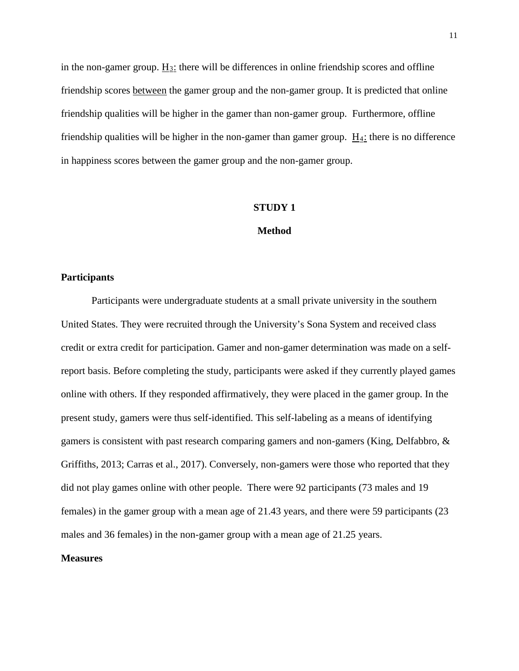in the non-gamer group.  $H_3$ : there will be differences in online friendship scores and offline friendship scores between the gamer group and the non-gamer group. It is predicted that online friendship qualities will be higher in the gamer than non-gamer group. Furthermore, offline friendship qualities will be higher in the non-gamer than gamer group.  $\underline{H}_4$ : there is no difference in happiness scores between the gamer group and the non-gamer group.

#### **STUDY 1**

#### **Method**

#### **Participants**

Participants were undergraduate students at a small private university in the southern United States. They were recruited through the University's Sona System and received class credit or extra credit for participation. Gamer and non-gamer determination was made on a selfreport basis. Before completing the study, participants were asked if they currently played games online with others. If they responded affirmatively, they were placed in the gamer group. In the present study, gamers were thus self-identified. This self-labeling as a means of identifying gamers is consistent with past research comparing gamers and non-gamers (King, Delfabbro, & Griffiths, 2013; Carras et al., 2017). Conversely, non-gamers were those who reported that they did not play games online with other people. There were 92 participants (73 males and 19 females) in the gamer group with a mean age of 21.43 years, and there were 59 participants (23 males and 36 females) in the non-gamer group with a mean age of 21.25 years.

## **Measures**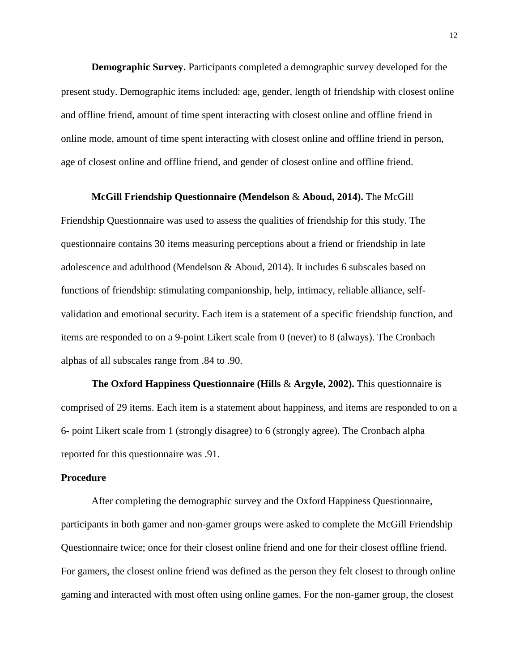**Demographic Survey.** Participants completed a demographic survey developed for the present study. Demographic items included: age, gender, length of friendship with closest online and offline friend, amount of time spent interacting with closest online and offline friend in online mode, amount of time spent interacting with closest online and offline friend in person, age of closest online and offline friend, and gender of closest online and offline friend.

#### **McGill Friendship Questionnaire (Mendelson** & **Aboud, 2014).** The McGill

Friendship Questionnaire was used to assess the qualities of friendship for this study. The questionnaire contains 30 items measuring perceptions about a friend or friendship in late adolescence and adulthood (Mendelson & Aboud, 2014). It includes 6 subscales based on functions of friendship: stimulating companionship, help, intimacy, reliable alliance, selfvalidation and emotional security. Each item is a statement of a specific friendship function, and items are responded to on a 9-point Likert scale from 0 (never) to 8 (always). The Cronbach alphas of all subscales range from .84 to .90.

**The Oxford Happiness Questionnaire (Hills** & **Argyle, 2002).** This questionnaire is comprised of 29 items. Each item is a statement about happiness, and items are responded to on a 6- point Likert scale from 1 (strongly disagree) to 6 (strongly agree). The Cronbach alpha reported for this questionnaire was .91.

#### **Procedure**

After completing the demographic survey and the Oxford Happiness Questionnaire, participants in both gamer and non-gamer groups were asked to complete the McGill Friendship Questionnaire twice; once for their closest online friend and one for their closest offline friend. For gamers, the closest online friend was defined as the person they felt closest to through online gaming and interacted with most often using online games. For the non-gamer group, the closest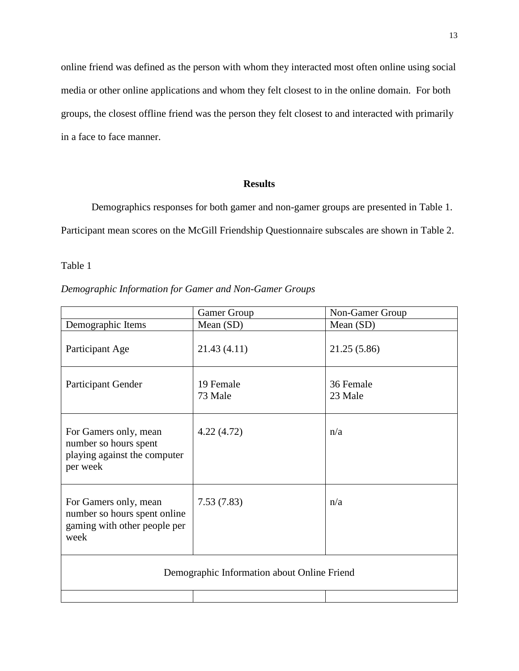online friend was defined as the person with whom they interacted most often online using social media or other online applications and whom they felt closest to in the online domain. For both groups, the closest offline friend was the person they felt closest to and interacted with primarily in a face to face manner.

## **Results**

Demographics responses for both gamer and non-gamer groups are presented in Table 1. Participant mean scores on the McGill Friendship Questionnaire subscales are shown in Table 2.

Table 1

|                                                                                               | Gamer Group          | Non-Gamer Group      |  |
|-----------------------------------------------------------------------------------------------|----------------------|----------------------|--|
| Demographic Items                                                                             | Mean $(SD)$          | Mean (SD)            |  |
| Participant Age                                                                               | 21.43 (4.11)         | 21.25 (5.86)         |  |
| Participant Gender                                                                            | 19 Female<br>73 Male | 36 Female<br>23 Male |  |
| For Gamers only, mean<br>number so hours spent<br>playing against the computer<br>per week    | 4.22(4.72)           | n/a                  |  |
| For Gamers only, mean<br>number so hours spent online<br>gaming with other people per<br>week | 7.53(7.83)           | n/a                  |  |
| Demographic Information about Online Friend                                                   |                      |                      |  |
|                                                                                               |                      |                      |  |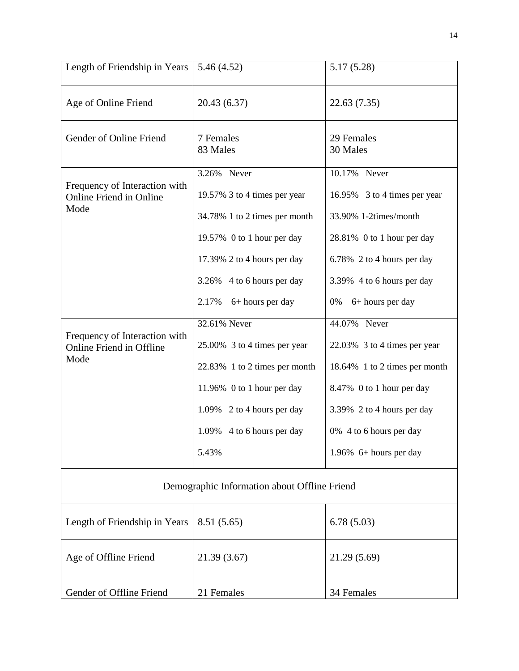| Length of Friendship in Years                                    | 5.46(4.52)                    | 5.17(5.28)                    |  |
|------------------------------------------------------------------|-------------------------------|-------------------------------|--|
| Age of Online Friend                                             | 20.43 (6.37)                  | 22.63 (7.35)                  |  |
| Gender of Online Friend                                          | 7 Females<br>83 Males         | 29 Females<br>30 Males        |  |
|                                                                  | 3.26% Never                   | 10.17% Never                  |  |
| Frequency of Interaction with<br><b>Online Friend in Online</b>  | 19.57% 3 to 4 times per year  | 16.95% 3 to 4 times per year  |  |
| Mode                                                             | 34.78% 1 to 2 times per month | 33.90% 1-2times/month         |  |
|                                                                  | 19.57% 0 to 1 hour per day    | 28.81% 0 to 1 hour per day    |  |
|                                                                  | 17.39% 2 to 4 hours per day   | 6.78% 2 to 4 hours per day    |  |
|                                                                  | 3.26% 4 to 6 hours per day    | 3.39% 4 to 6 hours per day    |  |
|                                                                  | 2.17%<br>6+ hours per day     | 6+ hours per day<br>0%        |  |
|                                                                  | 32.61% Never                  | 44.07% Never                  |  |
| Frequency of Interaction with<br><b>Online Friend in Offline</b> | 25.00% 3 to 4 times per year  | 22.03% 3 to 4 times per year  |  |
| Mode                                                             | 22.83% 1 to 2 times per month | 18.64% 1 to 2 times per month |  |
|                                                                  | 11.96% 0 to 1 hour per day    | 8.47% 0 to 1 hour per day     |  |
|                                                                  | 1.09% 2 to 4 hours per day    | 3.39% 2 to 4 hours per day    |  |
|                                                                  | 1.09% 4 to 6 hours per day    | 0% 4 to 6 hours per day       |  |
|                                                                  | 5.43%                         | 1.96% $6+$ hours per day      |  |
| Demographic Information about Offline Friend                     |                               |                               |  |
| Length of Friendship in Years                                    | 8.51(5.65)                    | 6.78(5.03)                    |  |
| Age of Offline Friend                                            | 21.39 (3.67)                  | 21.29 (5.69)                  |  |
| Gender of Offline Friend                                         | 21 Females                    | 34 Females                    |  |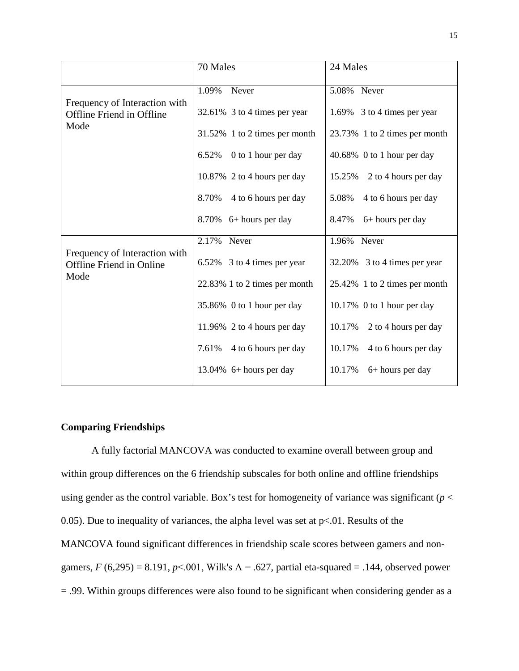|                                                                  | 70 Males                      | 24 Males                       |
|------------------------------------------------------------------|-------------------------------|--------------------------------|
| Frequency of Interaction with                                    | 1.09%<br>Never                | 5.08% Never                    |
| Offline Friend in Offline                                        | 32.61% 3 to 4 times per year  | 1.69% 3 to 4 times per year    |
| Mode                                                             | 31.52% 1 to 2 times per month | 23.73% 1 to 2 times per month  |
|                                                                  | 0 to 1 hour per day<br>6.52%  | 40.68% 0 to 1 hour per day     |
|                                                                  | 10.87% 2 to 4 hours per day   | 2 to 4 hours per day<br>15.25% |
|                                                                  | 8.70%<br>4 to 6 hours per day | 5.08%<br>4 to 6 hours per day  |
|                                                                  | $8.70\%$ 6+ hours per day     | 8.47%<br>$6+$ hours per day    |
|                                                                  | 2.17% Never                   | 1.96% Never                    |
| Frequency of Interaction with<br><b>Offline Friend in Online</b> | 6.52% 3 to 4 times per year   | 32.20% 3 to 4 times per year   |
| Mode                                                             | 22.83% 1 to 2 times per month | 25.42% 1 to 2 times per month  |
|                                                                  | 35.86% 0 to 1 hour per day    | 10.17% 0 to 1 hour per day     |
|                                                                  | 11.96% 2 to 4 hours per day   | 10.17%<br>2 to 4 hours per day |
|                                                                  | 7.61%<br>4 to 6 hours per day | 10.17%<br>4 to 6 hours per day |
|                                                                  | 13.04% $6+$ hours per day     | 10.17%<br>6+ hours per day     |

## **Comparing Friendships**

A fully factorial MANCOVA was conducted to examine overall between group and within group differences on the 6 friendship subscales for both online and offline friendships using gender as the control variable. Box's test for homogeneity of variance was significant ( $p <$ 0.05). Due to inequality of variances, the alpha level was set at  $p<0.01$ . Results of the MANCOVA found significant differences in friendship scale scores between gamers and nongamers,  $F(6,295) = 8.191$ ,  $p \le 0.001$ , Wilk's  $\Lambda = .627$ , partial eta-squared = .144, observed power = .99. Within groups differences were also found to be significant when considering gender as a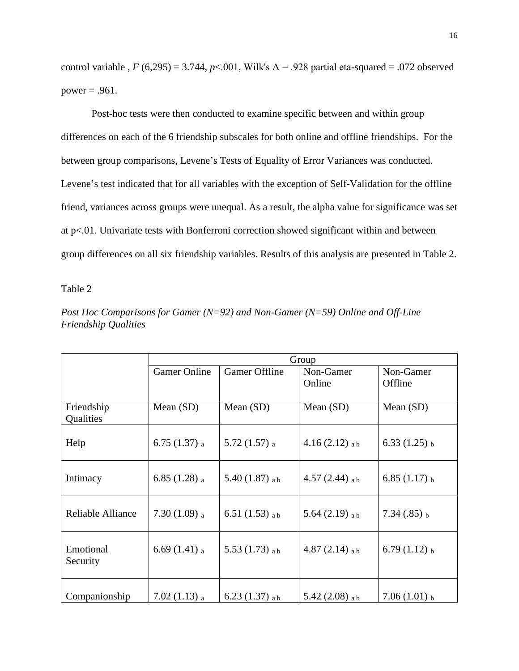control variable ,  $F(6,295) = 3.744$ ,  $p<0.01$ , Wilk's  $\Lambda = 0.928$  partial eta-squared = .072 observed power  $= .961$ .

Post-hoc tests were then conducted to examine specific between and within group differences on each of the 6 friendship subscales for both online and offline friendships. For the between group comparisons, Levene's Tests of Equality of Error Variances was conducted. Levene's test indicated that for all variables with the exception of Self-Validation for the offline friend, variances across groups were unequal. As a result, the alpha value for significance was set at p<.01. Univariate tests with Bonferroni correction showed significant within and between group differences on all six friendship variables. Results of this analysis are presented in Table 2.

Table 2

*Post Hoc Comparisons for Gamer (N=92) and Non-Gamer (N=59) Online and Off-Line Friendship Qualities*

|                         | Group                      |                             |                             |                      |
|-------------------------|----------------------------|-----------------------------|-----------------------------|----------------------|
|                         | <b>Gamer Online</b>        | <b>Gamer Offline</b>        | Non-Gamer<br>Online         | Non-Gamer<br>Offline |
| Friendship<br>Qualities | Mean $(SD)$                | Mean $(SD)$                 | Mean $(SD)$                 | Mean $(SD)$          |
| Help                    | 6.75 $(1.37)$ a            | $5.72(1.57)$ a              | $4.16(2.12)$ ab             | $6.33(1.25)$ b       |
| Intimacy                | 6.85 $(1.28)$ a            | 5.40 $(1.87)$ <sub>ab</sub> | 4.57 $(2.44)$ ab            | $6.85(1.17)$ b       |
| Reliable Alliance       | $7.30(1.09)$ a             | 6.51 $(1.53)$ ab            | 5.64 $(2.19)$ ab            | $7.34(.85)$ b        |
| Emotional<br>Security   | 6.69 $(1.41)$ <sub>a</sub> | 5.53 $(1.73)$ ab            | 4.87 $(2.14)$ <sub>ab</sub> | 6.79 $(1.12)$ b      |
| Companionship           | $7.02(1.13)$ a             | 6.23 $(1.37)$ ab            | 5.42 $(2.08)$ ab            | $7.06(1.01)$ b       |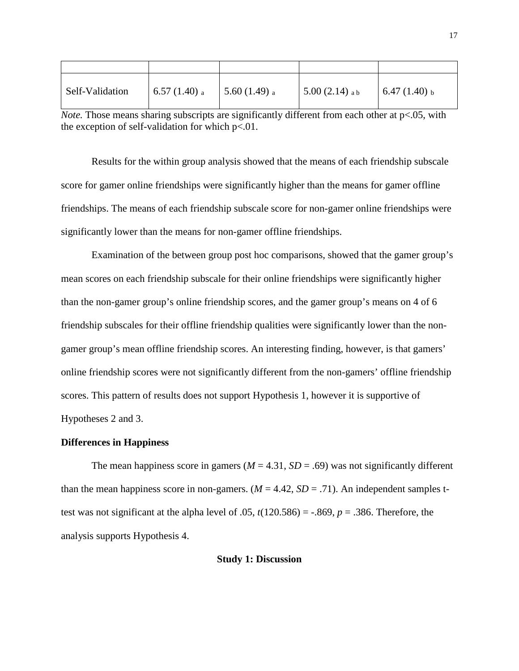| Self-Validation | 6.57 (1.40) $_{a}$ | 5.60 $(1.49)$ a | 5.00 $(2.14)$ ab | 6.47 $(1.40)$ <sub>b</sub> |
|-----------------|--------------------|-----------------|------------------|----------------------------|

*Note.* Those means sharing subscripts are significantly different from each other at p<.05, with the exception of self-validation for which  $p<0.01$ .

Results for the within group analysis showed that the means of each friendship subscale score for gamer online friendships were significantly higher than the means for gamer offline friendships. The means of each friendship subscale score for non-gamer online friendships were significantly lower than the means for non-gamer offline friendships.

Examination of the between group post hoc comparisons, showed that the gamer group's mean scores on each friendship subscale for their online friendships were significantly higher than the non-gamer group's online friendship scores, and the gamer group's means on 4 of 6 friendship subscales for their offline friendship qualities were significantly lower than the nongamer group's mean offline friendship scores. An interesting finding, however, is that gamers' online friendship scores were not significantly different from the non-gamers' offline friendship scores. This pattern of results does not support Hypothesis 1, however it is supportive of Hypotheses 2 and 3.

## **Differences in Happiness**

The mean happiness score in gamers ( $M = 4.31$ ,  $SD = .69$ ) was not significantly different than the mean happiness score in non-gamers.  $(M = 4.42, SD = .71)$ . An independent samples ttest was not significant at the alpha level of .05,  $t(120.586) = -.869$ ,  $p = .386$ . Therefore, the analysis supports Hypothesis 4.

#### **Study 1: Discussion**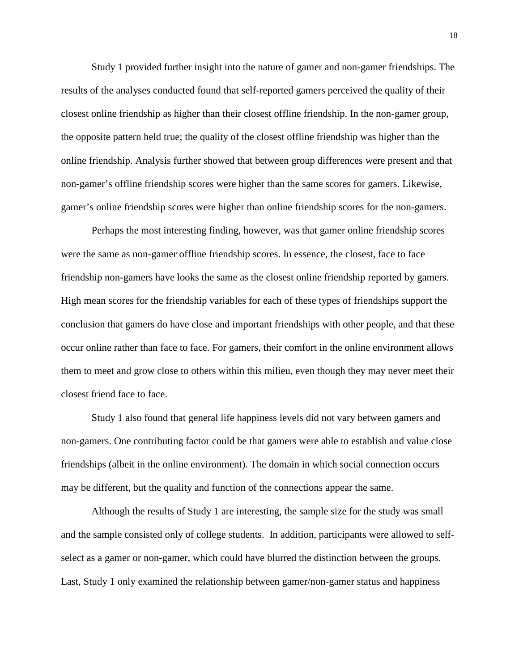Study 1 provided further insight into the nature of gamer and non-gamer friendships. The results of the analyses conducted found that self-reported gamers perceived the quality of their closest online friendship as higher than their closest offline friendship. In the non-gamer group, the opposite pattern held true; the quality of the closest offline friendship was higher than the online friendship. Analysis further showed that between group differences were present and that non-gamer's offline friendship scores were higher than the same scores for gamers. Likewise, gamer's online friendship scores were higher than online friendship scores for the non-gamers.

Perhaps the most interesting finding, however, was that gamer online friendship scores were the same as non-gamer offline friendship scores. In essence, the closest, face to face friendship non-gamers have looks the same as the closest online friendship reported by gamers. High mean scores for the friendship variables for each of these types of friendships support the conclusion that gamers do have close and important friendships with other people, and that these occur online rather than face to face. For gamers, their comfort in the online environment allows them to meet and grow close to others within this milieu, even though they may never meet their closest friend face to face.

Study 1 also found that general life happiness levels did not vary between gamers and non-gamers. One contributing factor could be that gamers were able to establish and value close friendships (albeit in the online environment). The domain in which social connection occurs may be different, but the quality and function of the connections appear the same.

Although the results of Study 1 are interesting, the sample size for the study was small and the sample consisted only of college students. In addition, participants were allowed to selfselect as a gamer or non-gamer, which could have blurred the distinction between the groups. Last, Study 1 only examined the relationship between gamer/non-gamer status and happiness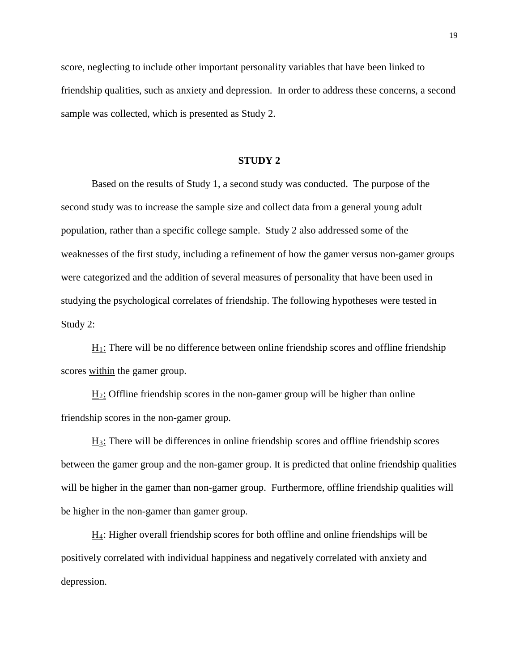score, neglecting to include other important personality variables that have been linked to friendship qualities, such as anxiety and depression. In order to address these concerns, a second sample was collected, which is presented as Study 2.

## **STUDY 2**

Based on the results of Study 1, a second study was conducted. The purpose of the second study was to increase the sample size and collect data from a general young adult population, rather than a specific college sample. Study 2 also addressed some of the weaknesses of the first study, including a refinement of how the gamer versus non-gamer groups were categorized and the addition of several measures of personality that have been used in studying the psychological correlates of friendship. The following hypotheses were tested in Study 2:

 $H_1$ : There will be no difference between online friendship scores and offline friendship scores within the gamer group.

 $H_2$ : Offline friendship scores in the non-gamer group will be higher than online friendship scores in the non-gamer group.

H3: There will be differences in online friendship scores and offline friendship scores between the gamer group and the non-gamer group. It is predicted that online friendship qualities will be higher in the gamer than non-gamer group. Furthermore, offline friendship qualities will be higher in the non-gamer than gamer group.

 $\underline{H}_4$ : Higher overall friendship scores for both offline and online friendships will be positively correlated with individual happiness and negatively correlated with anxiety and depression.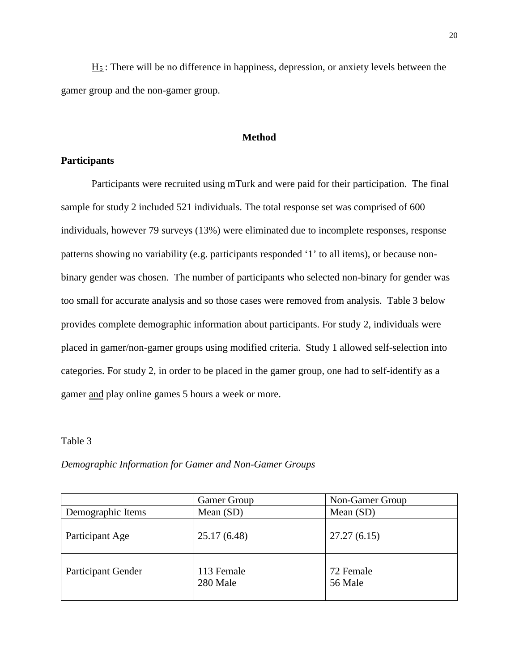$H_5$ : There will be no difference in happiness, depression, or anxiety levels between the gamer group and the non-gamer group.

### **Method**

## **Participants**

Participants were recruited using mTurk and were paid for their participation. The final sample for study 2 included 521 individuals. The total response set was comprised of 600 individuals, however 79 surveys (13%) were eliminated due to incomplete responses, response patterns showing no variability (e.g. participants responded '1' to all items), or because nonbinary gender was chosen. The number of participants who selected non-binary for gender was too small for accurate analysis and so those cases were removed from analysis. Table 3 below provides complete demographic information about participants. For study 2, individuals were placed in gamer/non-gamer groups using modified criteria. Study 1 allowed self-selection into categories. For study 2, in order to be placed in the gamer group, one had to self-identify as a gamer and play online games 5 hours a week or more.

#### Table 3

# *Demographic Information for Gamer and Non-Gamer Groups*

|                           | <b>Gamer Group</b>     | Non-Gamer Group      |
|---------------------------|------------------------|----------------------|
| Demographic Items         | Mean $(SD)$            | Mean (SD)            |
| Participant Age           | 25.17(6.48)            | 27.27(6.15)          |
| <b>Participant Gender</b> | 113 Female<br>280 Male | 72 Female<br>56 Male |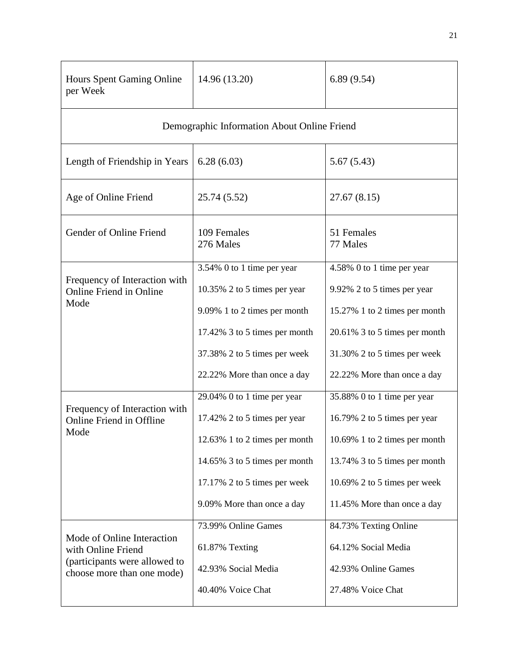| Hours Spent Gaming Online<br>per Week                                                                           | 14.96 (13.20)                                                                                                                                               | 6.89(9.54)                                                                                                                                                  |
|-----------------------------------------------------------------------------------------------------------------|-------------------------------------------------------------------------------------------------------------------------------------------------------------|-------------------------------------------------------------------------------------------------------------------------------------------------------------|
|                                                                                                                 | Demographic Information About Online Friend                                                                                                                 |                                                                                                                                                             |
| Length of Friendship in Years                                                                                   | 6.28(6.03)                                                                                                                                                  | 5.67(5.43)                                                                                                                                                  |
| Age of Online Friend                                                                                            | 25.74 (5.52)                                                                                                                                                | 27.67(8.15)                                                                                                                                                 |
| Gender of Online Friend                                                                                         | 109 Females<br>276 Males                                                                                                                                    | 51 Females<br>77 Males                                                                                                                                      |
| Frequency of Interaction with<br><b>Online Friend in Online</b><br>Mode                                         | 3.54% 0 to 1 time per year<br>10.35% 2 to 5 times per year<br>9.09% 1 to 2 times per month<br>17.42% 3 to 5 times per month<br>37.38% 2 to 5 times per week | 4.58% 0 to 1 time per year<br>9.92% 2 to 5 times per year<br>15.27% 1 to 2 times per month<br>20.61% 3 to 5 times per month<br>31.30% 2 to 5 times per week |
|                                                                                                                 | 22.22% More than once a day                                                                                                                                 | 22.22% More than once a day                                                                                                                                 |
| Frequency of Interaction with<br>Online Friend in Offline<br>Mode                                               | 29.04% 0 to 1 time per year<br>17.42% 2 to 5 times per year<br>12.63% 1 to 2 times per month                                                                | 35.88% 0 to 1 time per year<br>16.79% 2 to 5 times per year<br>10.69% 1 to 2 times per month                                                                |
|                                                                                                                 | 14.65% 3 to 5 times per month<br>17.17% 2 to 5 times per week<br>9.09% More than once a day                                                                 | 13.74% 3 to 5 times per month<br>10.69% 2 to 5 times per week<br>11.45% More than once a day                                                                |
| Mode of Online Interaction<br>with Online Friend<br>(participants were allowed to<br>choose more than one mode) | 73.99% Online Games<br>61.87% Texting<br>42.93% Social Media<br>40.40% Voice Chat                                                                           | 84.73% Texting Online<br>64.12% Social Media<br>42.93% Online Games<br>27.48% Voice Chat                                                                    |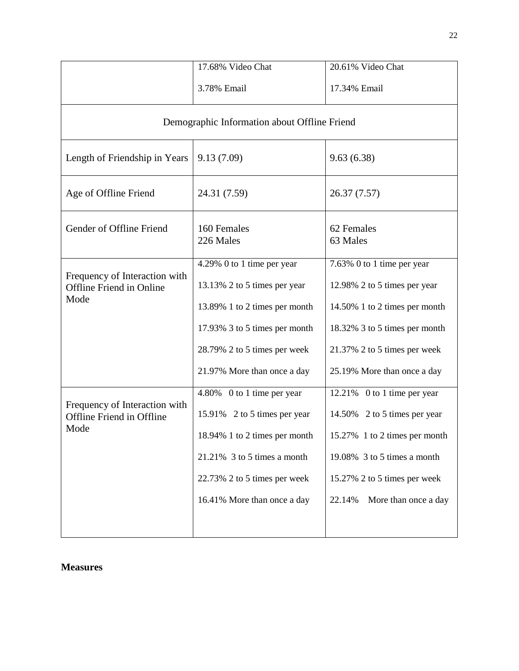|                                                                           | 17.68% Video Chat                                                                                                                                                                            | 20.61% Video Chat                                                                                                                                                                             |  |  |
|---------------------------------------------------------------------------|----------------------------------------------------------------------------------------------------------------------------------------------------------------------------------------------|-----------------------------------------------------------------------------------------------------------------------------------------------------------------------------------------------|--|--|
|                                                                           | 3.78% Email                                                                                                                                                                                  |                                                                                                                                                                                               |  |  |
|                                                                           | Demographic Information about Offline Friend                                                                                                                                                 |                                                                                                                                                                                               |  |  |
| Length of Friendship in Years                                             | 9.13(7.09)                                                                                                                                                                                   | 9.63(6.38)                                                                                                                                                                                    |  |  |
| Age of Offline Friend                                                     | 24.31 (7.59)                                                                                                                                                                                 | 26.37 (7.57)                                                                                                                                                                                  |  |  |
| Gender of Offline Friend                                                  | 160 Females<br>226 Males                                                                                                                                                                     | 62 Females<br>63 Males                                                                                                                                                                        |  |  |
| Frequency of Interaction with<br><b>Offline Friend in Online</b><br>Mode  | 4.29% 0 to 1 time per year<br>13.13% 2 to 5 times per year<br>13.89% 1 to 2 times per month<br>17.93% 3 to 5 times per month<br>28.79% 2 to 5 times per week<br>21.97% More than once a day  | 7.63% 0 to 1 time per year<br>12.98% 2 to 5 times per year<br>14.50% 1 to 2 times per month<br>18.32% 3 to 5 times per month<br>21.37% 2 to 5 times per week<br>25.19% More than once a day   |  |  |
| Frequency of Interaction with<br><b>Offline Friend in Offline</b><br>Mode | 4.80% 0 to 1 time per year<br>15.91% 2 to 5 times per year<br>18.94% 1 to 2 times per month<br>$21.21\%$ 3 to 5 times a month<br>22.73% 2 to 5 times per week<br>16.41% More than once a day | 12.21% 0 to 1 time per year<br>14.50% 2 to 5 times per year<br>15.27% 1 to 2 times per month<br>19.08% 3 to 5 times a month<br>15.27% 2 to 5 times per week<br>More than once a day<br>22.14% |  |  |

## **Measures**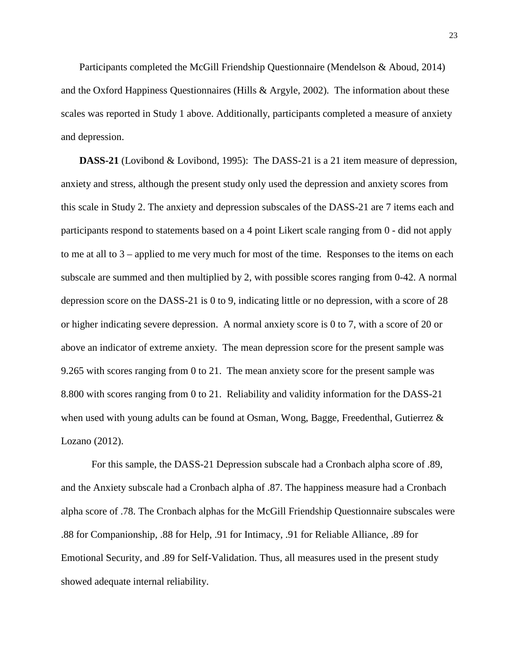Participants completed the McGill Friendship Questionnaire (Mendelson & Aboud, 2014) and the Oxford Happiness Questionnaires (Hills & Argyle, 2002). The information about these scales was reported in Study 1 above. Additionally, participants completed a measure of anxiety and depression.

**DASS-21** (Lovibond & Lovibond, 1995): The DASS-21 is a 21 item measure of depression, anxiety and stress, although the present study only used the depression and anxiety scores from this scale in Study 2. The anxiety and depression subscales of the DASS-21 are 7 items each and participants respond to statements based on a 4 point Likert scale ranging from 0 - did not apply to me at all to 3 – applied to me very much for most of the time. Responses to the items on each subscale are summed and then multiplied by 2, with possible scores ranging from 0-42. A normal depression score on the DASS-21 is 0 to 9, indicating little or no depression, with a score of 28 or higher indicating severe depression. A normal anxiety score is 0 to 7, with a score of 20 or above an indicator of extreme anxiety. The mean depression score for the present sample was 9.265 with scores ranging from 0 to 21. The mean anxiety score for the present sample was 8.800 with scores ranging from 0 to 21. Reliability and validity information for the DASS-21 when used with young adults can be found at Osman, Wong, Bagge, Freedenthal, Gutierrez & Lozano (2012).

For this sample, the DASS-21 Depression subscale had a Cronbach alpha score of .89, and the Anxiety subscale had a Cronbach alpha of .87. The happiness measure had a Cronbach alpha score of .78. The Cronbach alphas for the McGill Friendship Questionnaire subscales were .88 for Companionship, .88 for Help, .91 for Intimacy, .91 for Reliable Alliance, .89 for Emotional Security, and .89 for Self-Validation. Thus, all measures used in the present study showed adequate internal reliability.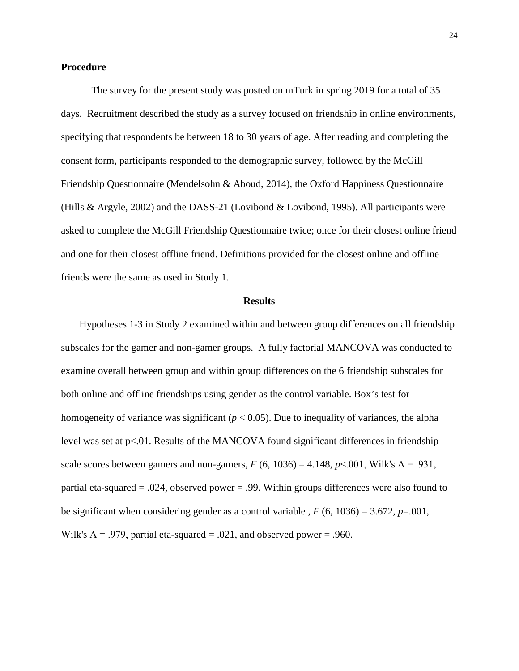## **Procedure**

The survey for the present study was posted on mTurk in spring 2019 for a total of 35 days. Recruitment described the study as a survey focused on friendship in online environments, specifying that respondents be between 18 to 30 years of age. After reading and completing the consent form, participants responded to the demographic survey, followed by the McGill Friendship Questionnaire (Mendelsohn & Aboud, 2014), the Oxford Happiness Questionnaire (Hills & Argyle, 2002) and the DASS-21 (Lovibond & Lovibond, 1995). All participants were asked to complete the McGill Friendship Questionnaire twice; once for their closest online friend and one for their closest offline friend. Definitions provided for the closest online and offline friends were the same as used in Study 1.

#### **Results**

Hypotheses 1-3 in Study 2 examined within and between group differences on all friendship subscales for the gamer and non-gamer groups. A fully factorial MANCOVA was conducted to examine overall between group and within group differences on the 6 friendship subscales for both online and offline friendships using gender as the control variable. Box's test for homogeneity of variance was significant ( $p < 0.05$ ). Due to inequality of variances, the alpha level was set at p<.01. Results of the MANCOVA found significant differences in friendship scale scores between gamers and non-gamers,  $F(6, 1036) = 4.148$ ,  $p<.001$ , Wilk's  $\Lambda = .931$ , partial eta-squared = .024, observed power = .99. Within groups differences were also found to be significant when considering gender as a control variable ,  $F(6, 1036) = 3.672$ ,  $p = .001$ , Wilk's  $\Lambda$  = .979, partial eta-squared = .021, and observed power = .960.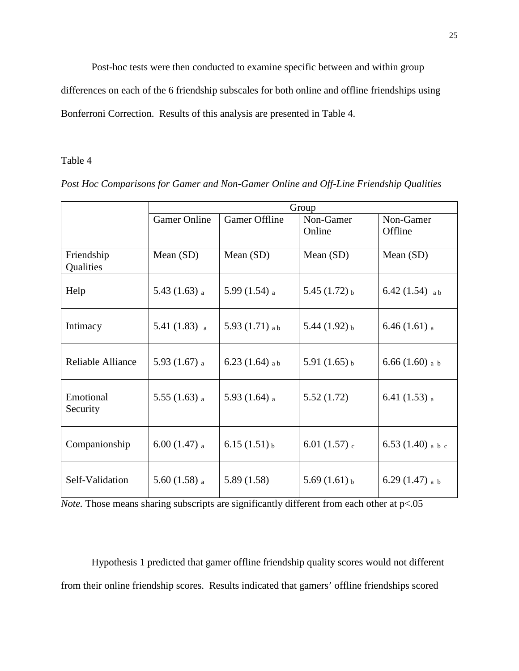Post-hoc tests were then conducted to examine specific between and within group

differences on each of the 6 friendship subscales for both online and offline friendships using Bonferroni Correction. Results of this analysis are presented in Table 4.

## Table 4

|                         | Group                      |                      |                            |                            |
|-------------------------|----------------------------|----------------------|----------------------------|----------------------------|
|                         | <b>Gamer Online</b>        | <b>Gamer Offline</b> | Non-Gamer<br>Online        | Non-Gamer<br>Offline       |
| Friendship<br>Qualities | Mean (SD)                  | Mean (SD)            | Mean (SD)                  | Mean $(SD)$                |
| Help                    | 5.43 $(1.63)$ a            | 5.99 $(1.54)$ a      | 5.45 $(1.72)$ b            | 6.42 $(1.54)$ ab           |
| Intimacy                | 5.41 $(1.83)$ <sub>a</sub> | 5.93 $(1.71)$ a b    | 5.44 $(1.92)$ b            | 6.46 $(1.61)$ <sub>a</sub> |
| Reliable Alliance       | 5.93 $(1.67)$ a            | 6.23 $(1.64)$ a b    | 5.91 $(1.65)$ <sub>b</sub> | 6.66 (1.60) <sub>a b</sub> |
| Emotional<br>Security   | $5.55(1.63)$ a             | 5.93 $(1.64)$ a      | 5.52(1.72)                 | 6.41 $(1.53)$ a            |
| Companionship           | $6.00(1.47)$ a             | $6.15(1.51)$ b       | 6.01 $(1.57)$ <sub>c</sub> | 6.53 $(1.40)$ a b c        |
| Self-Validation         | 5.60 $(1.58)$ <sub>a</sub> | 5.89(1.58)           | $5.69(1.61)_{b}$           | 6.29 $(1.47)$ a b          |

*Post Hoc Comparisons for Gamer and Non-Gamer Online and Off-Line Friendship Qualities*

Hypothesis 1 predicted that gamer offline friendship quality scores would not different from their online friendship scores. Results indicated that gamers' offline friendships scored

*Note.* Those means sharing subscripts are significantly different from each other at p<.05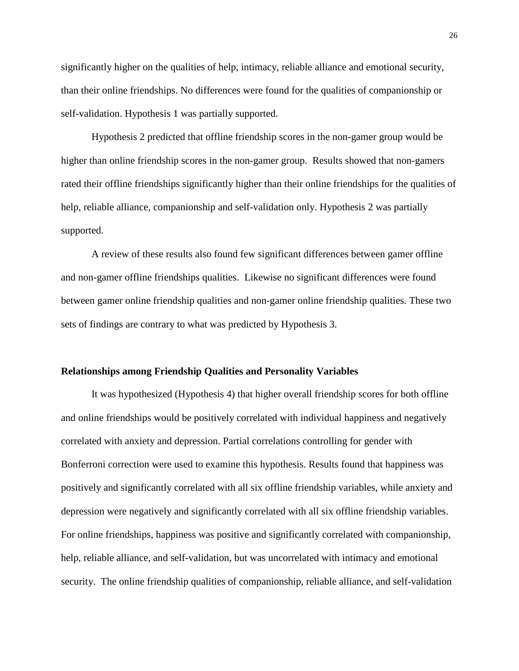significantly higher on the qualities of help, intimacy, reliable alliance and emotional security, than their online friendships. No differences were found for the qualities of companionship or self-validation. Hypothesis 1 was partially supported.

Hypothesis 2 predicted that offline friendship scores in the non-gamer group would be higher than online friendship scores in the non-gamer group. Results showed that non-gamers rated their offline friendships significantly higher than their online friendships for the qualities of help, reliable alliance, companionship and self-validation only. Hypothesis 2 was partially supported.

A review of these results also found few significant differences between gamer offline and non-gamer offline friendships qualities. Likewise no significant differences were found between gamer online friendship qualities and non-gamer online friendship qualities. These two sets of findings are contrary to what was predicted by Hypothesis 3.

#### **Relationships among Friendship Qualities and Personality Variables**

It was hypothesized (Hypothesis 4) that higher overall friendship scores for both offline and online friendships would be positively correlated with individual happiness and negatively correlated with anxiety and depression. Partial correlations controlling for gender with Bonferroni correction were used to examine this hypothesis. Results found that happiness was positively and significantly correlated with all six offline friendship variables, while anxiety and depression were negatively and significantly correlated with all six offline friendship variables. For online friendships, happiness was positive and significantly correlated with companionship, help, reliable alliance, and self-validation, but was uncorrelated with intimacy and emotional security. The online friendship qualities of companionship, reliable alliance, and self-validation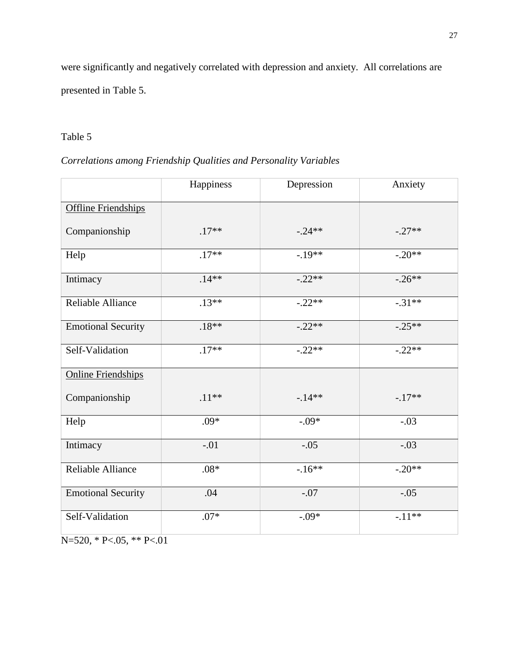were significantly and negatively correlated with depression and anxiety. All correlations are presented in Table 5.

# Table 5

# *Correlations among Friendship Qualities and Personality Variables*

|                            | Happiness | Depression | Anxiety  |
|----------------------------|-----------|------------|----------|
| <b>Offline Friendships</b> |           |            |          |
| Companionship              | $.17**$   | $-.24**$   | $-.27**$ |
| Help                       | $.17**$   | $-.19**$   | $-.20**$ |
| Intimacy                   | $.14**$   | $-.22**$   | $-.26**$ |
| Reliable Alliance          | $.13**$   | $-.22**$   | $-.31**$ |
| <b>Emotional Security</b>  | $.18**$   | $-.22**$   | $-.25**$ |
| Self-Validation            | $.17**$   | $-.22**$   | $-.22**$ |
| <b>Online Friendships</b>  |           |            |          |
| Companionship              | $.11***$  | $-14**$    | $-.17**$ |
| Help                       | $.09*$    | $-.09*$    | $-.03$   |
| Intimacy                   | $-.01$    | $-.05$     | $-.03$   |
| Reliable Alliance          | $.08*$    | $-16**$    | $-.20**$ |
| <b>Emotional Security</b>  | .04       | $-.07$     | $-.05$   |
| Self-Validation            | $.07*$    | $-.09*$    | $-.11**$ |

N=520, \* P<.05, \*\* P<.01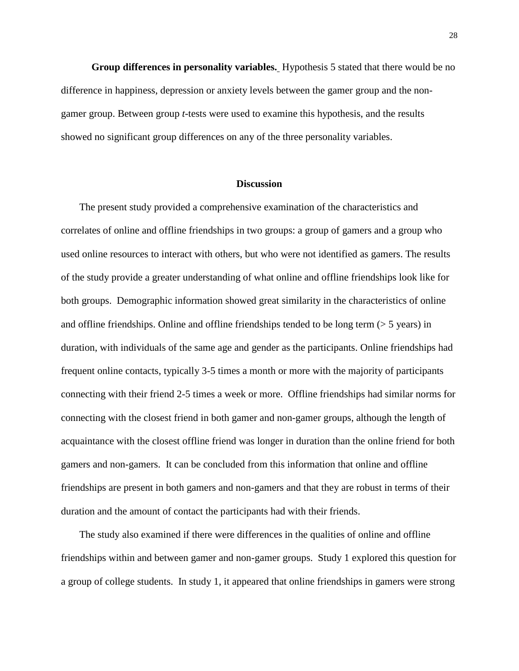**Group differences in personality variables.** Hypothesis 5 stated that there would be no difference in happiness, depression or anxiety levels between the gamer group and the nongamer group. Between group *t*-tests were used to examine this hypothesis, and the results showed no significant group differences on any of the three personality variables.

#### **Discussion**

The present study provided a comprehensive examination of the characteristics and correlates of online and offline friendships in two groups: a group of gamers and a group who used online resources to interact with others, but who were not identified as gamers. The results of the study provide a greater understanding of what online and offline friendships look like for both groups. Demographic information showed great similarity in the characteristics of online and offline friendships. Online and offline friendships tended to be long term  $($  > 5 years) in duration, with individuals of the same age and gender as the participants. Online friendships had frequent online contacts, typically 3-5 times a month or more with the majority of participants connecting with their friend 2-5 times a week or more. Offline friendships had similar norms for connecting with the closest friend in both gamer and non-gamer groups, although the length of acquaintance with the closest offline friend was longer in duration than the online friend for both gamers and non-gamers. It can be concluded from this information that online and offline friendships are present in both gamers and non-gamers and that they are robust in terms of their duration and the amount of contact the participants had with their friends.

The study also examined if there were differences in the qualities of online and offline friendships within and between gamer and non-gamer groups. Study 1 explored this question for a group of college students. In study 1, it appeared that online friendships in gamers were strong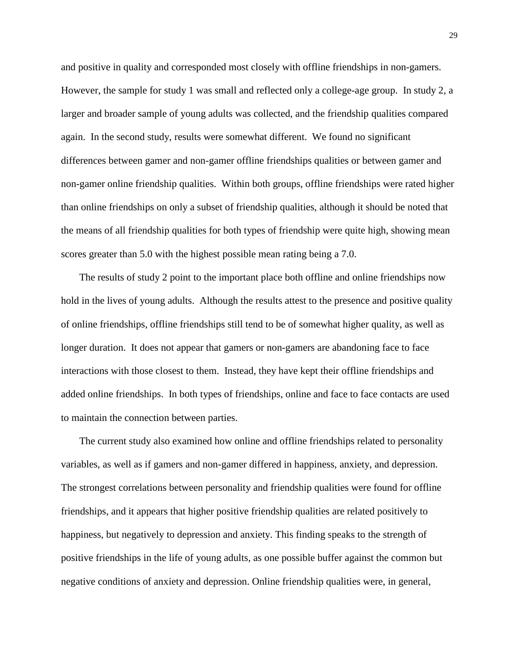and positive in quality and corresponded most closely with offline friendships in non-gamers. However, the sample for study 1 was small and reflected only a college-age group. In study 2, a larger and broader sample of young adults was collected, and the friendship qualities compared again. In the second study, results were somewhat different. We found no significant differences between gamer and non-gamer offline friendships qualities or between gamer and non-gamer online friendship qualities. Within both groups, offline friendships were rated higher than online friendships on only a subset of friendship qualities, although it should be noted that the means of all friendship qualities for both types of friendship were quite high, showing mean scores greater than 5.0 with the highest possible mean rating being a 7.0.

The results of study 2 point to the important place both offline and online friendships now hold in the lives of young adults. Although the results attest to the presence and positive quality of online friendships, offline friendships still tend to be of somewhat higher quality, as well as longer duration. It does not appear that gamers or non-gamers are abandoning face to face interactions with those closest to them. Instead, they have kept their offline friendships and added online friendships. In both types of friendships, online and face to face contacts are used to maintain the connection between parties.

The current study also examined how online and offline friendships related to personality variables, as well as if gamers and non-gamer differed in happiness, anxiety, and depression. The strongest correlations between personality and friendship qualities were found for offline friendships, and it appears that higher positive friendship qualities are related positively to happiness, but negatively to depression and anxiety. This finding speaks to the strength of positive friendships in the life of young adults, as one possible buffer against the common but negative conditions of anxiety and depression. Online friendship qualities were, in general,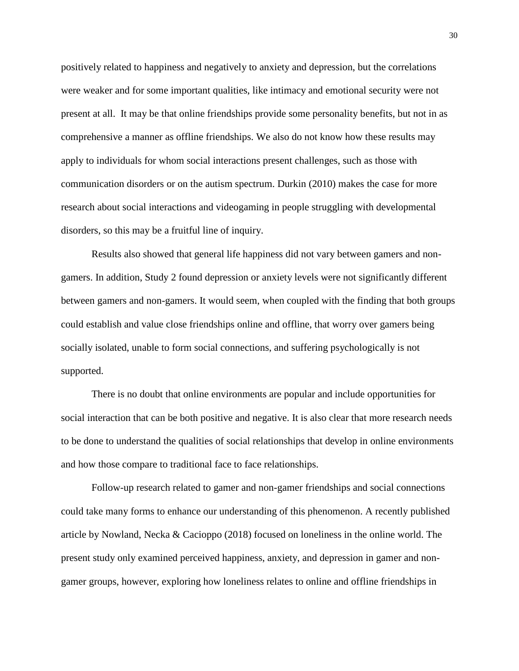positively related to happiness and negatively to anxiety and depression, but the correlations were weaker and for some important qualities, like intimacy and emotional security were not present at all. It may be that online friendships provide some personality benefits, but not in as comprehensive a manner as offline friendships. We also do not know how these results may apply to individuals for whom social interactions present challenges, such as those with communication disorders or on the autism spectrum. Durkin (2010) makes the case for more research about social interactions and videogaming in people struggling with developmental disorders, so this may be a fruitful line of inquiry.

 Results also showed that general life happiness did not vary between gamers and nongamers. In addition, Study 2 found depression or anxiety levels were not significantly different between gamers and non-gamers. It would seem, when coupled with the finding that both groups could establish and value close friendships online and offline, that worry over gamers being socially isolated, unable to form social connections, and suffering psychologically is not supported.

There is no doubt that online environments are popular and include opportunities for social interaction that can be both positive and negative. It is also clear that more research needs to be done to understand the qualities of social relationships that develop in online environments and how those compare to traditional face to face relationships.

Follow-up research related to gamer and non-gamer friendships and social connections could take many forms to enhance our understanding of this phenomenon. A recently published article by Nowland, Necka & Cacioppo (2018) focused on loneliness in the online world. The present study only examined perceived happiness, anxiety, and depression in gamer and nongamer groups, however, exploring how loneliness relates to online and offline friendships in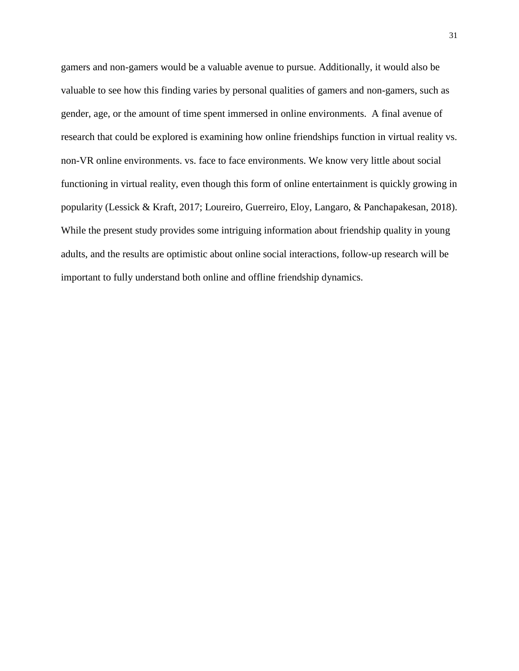gamers and non-gamers would be a valuable avenue to pursue. Additionally, it would also be valuable to see how this finding varies by personal qualities of gamers and non-gamers, such as gender, age, or the amount of time spent immersed in online environments. A final avenue of research that could be explored is examining how online friendships function in virtual reality vs. non-VR online environments. vs. face to face environments. We know very little about social functioning in virtual reality, even though this form of online entertainment is quickly growing in popularity (Lessick & Kraft, 2017; Loureiro, Guerreiro, Eloy, Langaro, & Panchapakesan, 2018). While the present study provides some intriguing information about friendship quality in young adults, and the results are optimistic about online social interactions, follow-up research will be important to fully understand both online and offline friendship dynamics.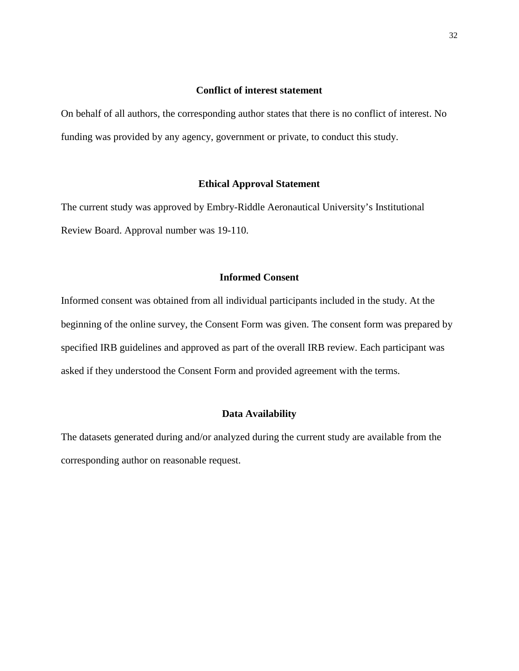## **Conflict of interest statement**

On behalf of all authors, the corresponding author states that there is no conflict of interest. No funding was provided by any agency, government or private, to conduct this study.

## **Ethical Approval Statement**

The current study was approved by Embry-Riddle Aeronautical University's Institutional Review Board. Approval number was 19-110.

## **Informed Consent**

Informed consent was obtained from all individual participants included in the study. At the beginning of the online survey, the Consent Form was given. The consent form was prepared by specified IRB guidelines and approved as part of the overall IRB review. Each participant was asked if they understood the Consent Form and provided agreement with the terms.

## **Data Availability**

The datasets generated during and/or analyzed during the current study are available from the corresponding author on reasonable request.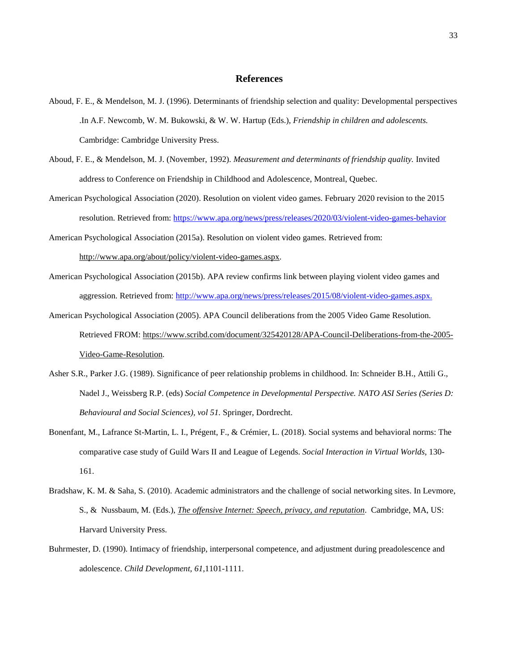#### **References**

- Aboud, F. E., & Mendelson, M. J. (1996). Determinants of friendship selection and quality: Developmental perspectives .In A.F. Newcomb, W. M. Bukowski, & W. W. Hartup (Eds.), *Friendship in children and adolescents.* Cambridge: Cambridge University Press.
- Aboud, F. E., & Mendelson, M. J. (November, 1992). *Measurement and determinants of friendship quality.* Invited address to Conference on Friendship in Childhood and Adolescence, Montreal, Quebec.
- American Psychological Association (2020). Resolution on violent video games. February 2020 revision to the 2015 resolution. Retrieved from[: https://www.apa.org/news/press/releases/2020/03/violent-video-games-behavior](https://www.apa.org/news/press/releases/2020/03/violent-video-games-behavior)

American Psychological Association (2015a). Resolution on violent video games. Retrieved from:

[http://www.apa.org/about/policy/violent-video-games.aspx.](http://www.apa.org/about/policy/violent-video-games.aspx)

American Psychological Association (2015b). APA review confirms link between playing violent video games and aggression. Retrieved from:<http://www.apa.org/news/press/releases/2015/08/violent-video-games.aspx.>

American Psychological Association (2005). APA Council deliberations from the 2005 Video Game Resolution. Retrieved FROM: [https://www.scribd.com/document/325420128/APA-Council-Deliberations-from-the-2005-](https://www.scribd.com/document/325420128/APA-Council-Deliberations-from-the-2005-Video-Game-Resolution) [Video-Game-Resolution.](https://www.scribd.com/document/325420128/APA-Council-Deliberations-from-the-2005-Video-Game-Resolution)

- Asher S.R., Parker J.G. (1989). Significance of peer relationship problems in childhood. In: Schneider B.H., Attili G., Nadel J., Weissberg R.P. (eds) *Social Competence in Developmental Perspective. NATO ASI Series (Series D: Behavioural and Social Sciences), vol 51.* Springer, Dordrecht.
- Bonenfant, M., Lafrance St-Martin, L. I., Prégent, F., & Crémier, L. (2018). Social systems and behavioral norms: The comparative case study of Guild Wars II and League of Legends. *Social Interaction in Virtual Worlds*, 130- 161.
- Bradshaw, K. M. & Saha, S. (2010). Academic administrators and the challenge of social networking sites. In [Levmore,](https://search-proquest-com.ezproxy.libproxy.db.erau.edu/psycinfo/pubidlinkhandler/sng/pub/The+offensive+Internet:+Speech,+privacy,+and+reputation/$N/23494/DocView/1023199912/abstract/55A8D40992FF4A63PQ/13?accountid=27203)  [S., & Nussbaum, M. \(Eds.\),](https://search-proquest-com.ezproxy.libproxy.db.erau.edu/psycinfo/pubidlinkhandler/sng/pub/The+offensive+Internet:+Speech,+privacy,+and+reputation/$N/23494/DocView/1023199912/abstract/55A8D40992FF4A63PQ/13?accountid=27203) *[The offensive Internet: Speech, privacy, and reputation](https://search-proquest-com.ezproxy.libproxy.db.erau.edu/psycinfo/pubidlinkhandler/sng/pub/The+offensive+Internet:+Speech,+privacy,+and+reputation/$N/23494/DocView/1023199912/abstract/55A8D40992FF4A63PQ/13?accountid=27203)*. Cambridge, MA, US: Harvard University Press.
- Buhrmester, D. (1990). Intimacy of friendship, interpersonal competence, and adjustment during preadolescence and adolescence. *Child Development, 61*,1101-1111.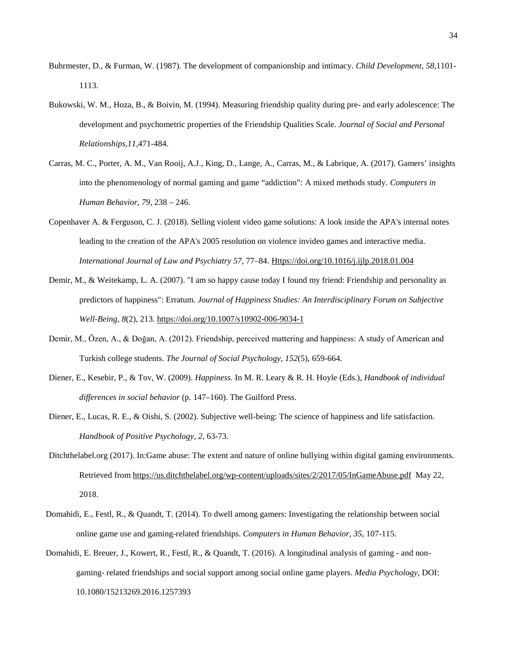- Buhrmester, D., & Furman, W. (1987). The development of companionship and intimacy. *Child Development, 58*,1101- 1113.
- Bukowski, W. M., Hoza, B., & Boivin, M. (1994). Measuring friendship quality during pre- and early adolescence: The development and psychometric properties of the Friendship Qualities Scale*. Journal of Social and Personal Relationships,11*,471-484.
- Carras, M. C., Porter, A. M., Van Rooij, A.J., King, D., Lange, A., Carras, M., & Labrique, A. (2017). Gamers' insights into the phenomenology of normal gaming and game "addiction": A mixed methods study. *Computers in Human Behavior, 79,* 238 – 246.
- Copenhaver A. & Ferguson, C. J. (2018). Selling violent video game solutions: A look inside the APA's internal notes leading to the creation of the APA's 2005 resolution on violence invideo games and interactive media. *International Journal of Law and Psychiatry 57*, 77–84. [Https://doi.org/10.1016/j.ijlp.2018.01.004](https://doi.org/10.1016/j.ijlp.2018.01.004)
- Demir, M., & Weitekamp, L. A. (2007). "I am so happy cause today I found my friend: Friendship and personality as predictors of happiness": Erratum. *Journal of Happiness Studies: An Interdisciplinary Forum on Subjective Well-Being, 8*(2), 21[3.](https://psycnet.apa.org/doi/10.1007/s10902-006-9034-1) [https://doi.org/10.1007/s10902-006-9034-1](https://psycnet.apa.org/doi/10.1007/s10902-006-9034-1)
- Demir, M., Özen, A., & Doğan, A. (2012). Friendship, perceived mattering and happiness: A study of American and Turkish college students. *The Journal of Social Psychology*, *152*(5), 659-664.
- Diener, E., Kesebir, P., & Tov, W. (2009). *Happiness.* In M. R. Leary & R. H. Hoyle (Eds.), *Handbook of individual differences in social behavior* (p. 147–160). The Guilford Press.
- Diener, E., Lucas, R. E., & Oishi, S. (2002). Subjective well-being: The science of happiness and life satisfaction. *Handbook of Positive Psychology*, *2*, 63-73.
- Ditchthelabel.org (2017). In:Game abuse: The extent and nature of online bullying within digital gaming environments. Retrieved from<https://us.ditchthelabel.org/wp-content/uploads/sites/2/2017/05/InGameAbuse.pdf>May 22, 2018.
- Domahidi, E., Festl, R., & Quandt, T. (2014). To dwell among gamers: Investigating the relationship between social online game use and gaming-related friendships. *Computers in Human Behavior, 35*, 107-115.
- Domahidi, E. Breuer, J., Kowert, R., Festl, R., & Quandt, T. (2016). A longitudinal analysis of gaming and nongaming- related friendships and social support among social online game players. *Media Psychology*, DOI: 10.1080/15213269.2016.1257393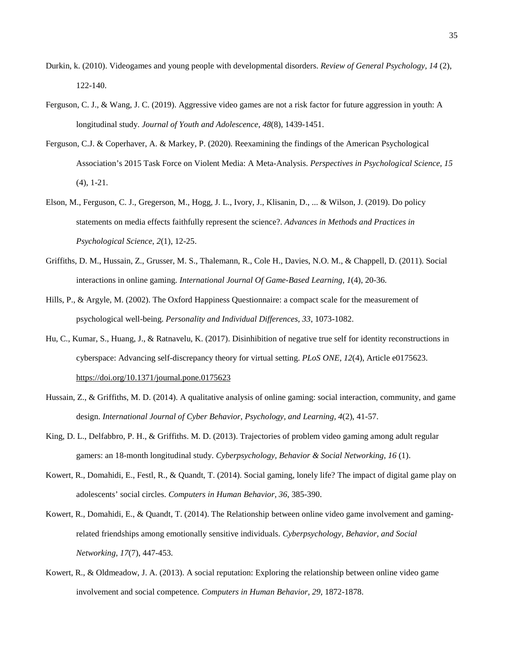- Durkin, k. (2010). Videogames and young people with developmental disorders. *Review of General Psychology, 14* (2), 122-140.
- Ferguson, C. J., & Wang, J. C. (2019). Aggressive video games are not a risk factor for future aggression in youth: A longitudinal study. *Journal of Youth and Adolescence*, *48*(8), 1439-1451.
- Ferguson, C.J. & Coperhaver, A. & Markey, P. (2020). Reexamining the findings of the American Psychological Association's 2015 Task Force on Violent Media: A Meta-Analysis. *Perspectives in Psychological Science, 15* (4), 1-21.
- Elson, M., Ferguson, C. J., Gregerson, M., Hogg, J. L., Ivory, J., Klisanin, D., ... & Wilson, J. (2019). Do policy statements on media effects faithfully represent the science?. *Advances in Methods and Practices in Psychological Science*, *2*(1), 12-25.
- Griffiths, D. M., Hussain, Z., Grusser, M. S., Thalemann, R., Cole H., Davies, N.O. M., & Chappell, D. (2011). Social interactions in online gaming. *International Journal Of Game-Based Learning, 1*(4), 20-36.
- Hills, P., & Argyle, M. (2002). The Oxford Happiness Questionnaire: a compact scale for the measurement of psychological well-being. *Personality and Individual Differences, 33*, 1073-1082.
- Hu, C., Kumar, S., Huang, J., & Ratnavelu, K. (2017). Disinhibition of negative true self for identity reconstructions in cyberspace: Advancing self-discrepancy theory for virtual setting. *PLoS ONE, 12*(4), Article e017562[3.](https://psycnet.apa.org/doi/10.1371/journal.pone.0175623) [https://doi.org/10.1371/journal.pone.0175623](https://psycnet.apa.org/doi/10.1371/journal.pone.0175623)
- Hussain, Z., & Griffiths, M. D. (2014). A qualitative analysis of online gaming: social interaction, community, and game design. *International Journal of Cyber Behavior, Psychology, and Learning, 4*(2), 41-57.
- King, D. L., Delfabbro, P. H., & Griffiths. M. D. (2013). Trajectories of problem video gaming among adult regular gamers: an 18-month longitudinal study. *Cyberpsychology, Behavior & Social Networking, 16* (1).
- Kowert, R., Domahidi, E., Festl, R., & Quandt, T. (2014). Social gaming, lonely life? The impact of digital game play on adolescents' social circles. *Computers in Human Behavior, 36*, 385-390.
- Kowert, R., Domahidi, E., & Quandt, T. (2014). The Relationship between online video game involvement and gamingrelated friendships among emotionally sensitive individuals. *Cyberpsychology, Behavior, and Social Networking, 17*(7), 447-453.
- Kowert, R., & Oldmeadow, J. A. (2013). A social reputation: Exploring the relationship between online video game involvement and social competence*. Computers in Human Behavior, 29*, 1872-1878.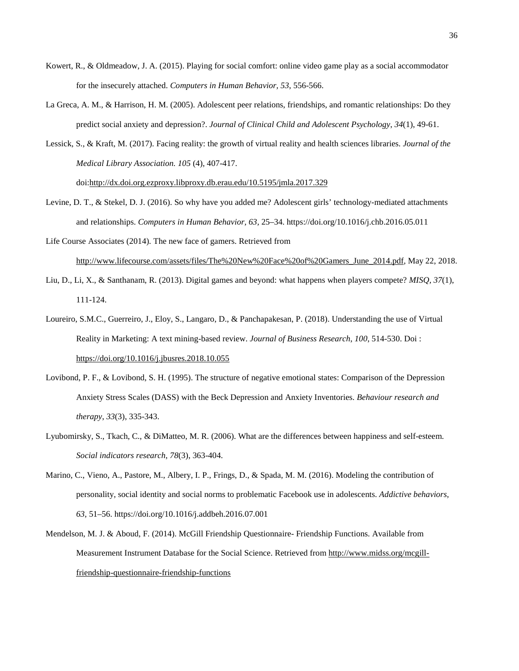- Kowert, R., & Oldmeadow, J. A. (2015). Playing for social comfort: online video game play as a social accommodator for the insecurely attached. *Computers in Human Behavior, 53*, 556-566.
- La Greca, A. M., & Harrison, H. M. (2005). Adolescent peer relations, friendships, and romantic relationships: Do they predict social anxiety and depression?. *Journal of Clinical Child and Adolescent Psychology*, *34*(1), 49-61.
- Lessick, S., & Kraft, M. (2017). Facing reality: the growth of virtual reality and health sciences libraries. *Journal of the Medical Library Association. 105* (4), 407-417.

doi[:http://dx.doi.org.ezproxy.libproxy.db.erau.edu/10.5195/jmla.2017.329](http://dx.doi.org.ezproxy.libproxy.db.erau.edu/10.5195/jmla.2017.329)

Levine, D. T., & Stekel, D. J. (2016). So why have you added me? Adolescent girls' technology-mediated attachments and relationships. *Computers in Human Behavior, 63,* 25–34. [https://doi.org/10.1016/j.chb.2016.05.011](https://psycnet.apa.org/doi/10.1016/j.chb.2016.05.011)

Life Course Associates (2014). The new face of gamers. Retrieved from [http://www.lifecourse.com/assets/files/The%20New%20Face%20of%20Gamers\\_June\\_2014.pdf,](http://www.lifecourse.com/assets/files/The%20New%20Face%20of%20Gamers_June_2014.pdf) May 22, 2018.

- Liu, D., Li, X., & Santhanam, R. (2013). Digital games and beyond: what happens when players compete? *MISQ, 37*(1), 111-124.
- Loureiro, S.M.C., Guerreiro, J., Eloy, S., Langaro, D., & Panchapakesan, P. (2018). Understanding the use of Virtual Reality in Marketing: A text mining-based review. *Journal of Business Research*, *100*, 514-530. Doi : <https://doi.org/10.1016/j.jbusres.2018.10.055>
- Lovibond, P. F., & Lovibond, S. H. (1995). The structure of negative emotional states: Comparison of the Depression Anxiety Stress Scales (DASS) with the Beck Depression and Anxiety Inventories. *Behaviour research and therapy*, *33*(3), 335-343.
- Lyubomirsky, S., Tkach, C., & DiMatteo, M. R. (2006). What are the differences between happiness and self-esteem. *Social indicators research*, *78*(3), 363-404.
- Marino, C., Vieno, A., Pastore, M., Albery, I. P., Frings, D., & Spada, M. M. (2016). Modeling the contribution of personality, social identity and social norms to problematic Facebook use in adolescents. *Addictive behaviors, 63*, 51–56. https://doi.org/10.1016/j.addbeh.2016.07.001
- Mendelson, M. J. & Aboud, F. (2014). McGill Friendship Questionnaire- Friendship Functions. Available from Measurement Instrument Database for the Social Science. Retrieved fro[m http://www.midss.org/mcgill](http://www.midss.org/mcgill-friendship-questionnaire-friendship-functions)[friendship-questionnaire-friendship-functions](http://www.midss.org/mcgill-friendship-questionnaire-friendship-functions)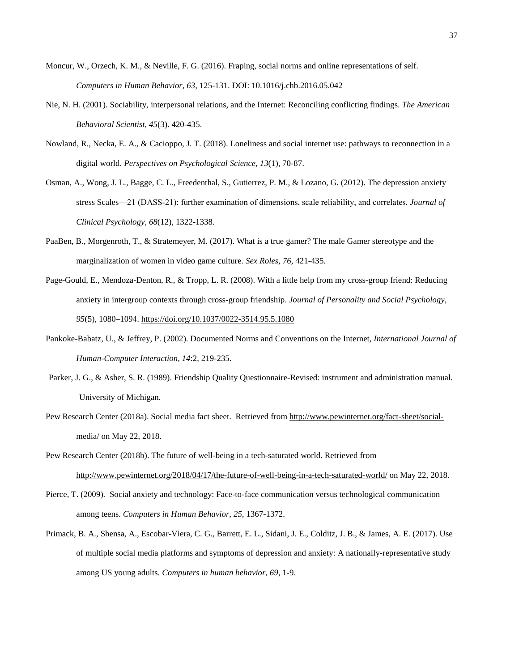- Moncur, W., Orzech, K. M., & Neville, F. G. (2016). Fraping, social norms and online representations of self. *Computers in Human Behavior, 63*, 125-131. DOI: 10.1016/j.chb.2016.05.042
- Nie, N. H. (2001). Sociability, interpersonal relations, and the Internet: Reconciling conflicting findings. *The American Behavioral Scientist, 45*(3). 420-435.
- Nowland, R., Necka, E. A., & Cacioppo, J. T. (2018). Loneliness and social internet use: pathways to reconnection in a digital world. *Perspectives on Psychological Science, 13*(1), 70-87.
- Osman, A., Wong, J. L., Bagge, C. L., Freedenthal, S., Gutierrez, P. M., & Lozano, G. (2012). The depression anxiety stress Scales—21 (DASS‐21): further examination of dimensions, scale reliability, and correlates. *Journal of Clinical Psychology*, *68*(12), 1322-1338.
- PaaBen, B., Morgenroth, T., & Stratemeyer, M. (2017). What is a true gamer? The male Gamer stereotype and the marginalization of women in video game culture. *Sex Roles, 76*, 421-435.
- Page-Gould, E., Mendoza-Denton, R., & Tropp, L. R. (2008). With a little help from my cross-group friend: Reducing anxiety in intergroup contexts through cross-group friendship. *Journal of Personality and Social Psychology, 95*(5), 1080–1094[. https://doi.org/10.1037/0022-3514.95.5.1080](https://doi.org/10.1037/0022-3514.95.5.1080)
- Pankoke-Babatz, U., & Jeffrey, P. (2002). Documented Norms and Conventions on the Internet, *International Journal of Human-Computer Interaction, 14*:2, 219-235.
- Parker, J. G., & Asher, S. R. (1989). Friendship Quality Questionnaire-Revised: instrument and administration manual. University of Michigan.
- Pew Research Center (2018a). Social media fact sheet. Retrieved fro[m http://www.pewinternet.org/fact-sheet/social](http://www.pewinternet.org/fact-sheet/social-media/)[media/](http://www.pewinternet.org/fact-sheet/social-media/) on May 22, 2018.
- Pew Research Center (2018b). The future of well-being in a tech-saturated world. Retrieved from <http://www.pewinternet.org/2018/04/17/the-future-of-well-being-in-a-tech-saturated-world/> on May 22, 2018.
- Pierce, T. (2009). Social anxiety and technology: Face-to-face communication versus technological communication among teens. *Computers in Human Behavior, 25*, 1367-1372.
- Primack, B. A., Shensa, A., Escobar-Viera, C. G., Barrett, E. L., Sidani, J. E., Colditz, J. B., & James, A. E. (2017). Use of multiple social media platforms and symptoms of depression and anxiety: A nationally-representative study among US young adults. *Computers in human behavior*, *69*, 1-9.